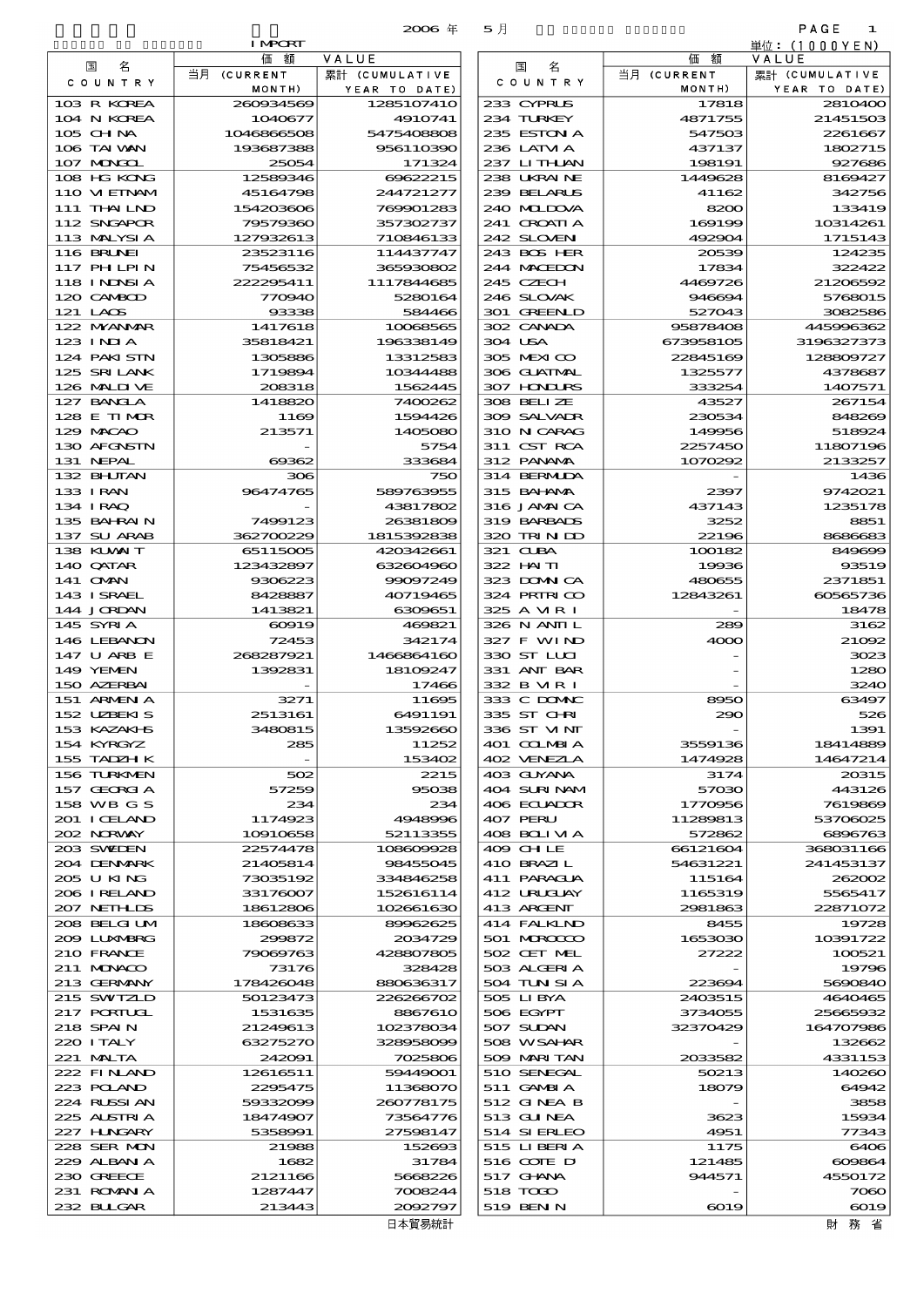| PAGE<br>$\mathbf{1}$ |                  |                           |                   |                 |                            |
|----------------------|------------------|---------------------------|-------------------|-----------------|----------------------------|
| 単位:(1000YEN)         |                  | 5月                        | $2006$ $#$        | <b>I MPORT</b>  |                            |
| VALUE                | 価額               |                           | VALUE             | 価額              |                            |
| 累計 (CUMULATIVE       | 当月 (CURRENT      | 国<br>名                    | 累計 (CUMULATIVE    | 当月 (CURRENT     | 国<br>名                     |
| YEAR TO DATE)        | MONTH)           | COUNTRY                   | YEAR TO DATE)     | MONTH)          | COUNTRY                    |
| 2810400              | 17818            | 233 CYPRUS                | 1285107410        | 260834569       | 103 R KOREA                |
| 21451503             | 4871755          | 234 TURKEY                | 4910741           | 1040677         | 104 N KOREA                |
| 2261667              | 547503           | 235 ESTON A               | 5475408808        | 1046866508      | $105$ CHNA                 |
| 1802715              | 437137           | 236 LATM A                | 956110390         | 193687388       | 106 TAI WAN                |
| 927686               | 198191           | 237 LITHLAN               | 171324            | 25054           | 107 MINGOL                 |
| 8169427              | 1449628          | 238 UKRAINE               | 69622215          | 12589346        | 108 HG KONG                |
| 342756               | 41162            | 239 BELARUS               | 244721277         | 45164798        | 110 VIEINAM                |
| 133419               | 8200             | 240 MIDOVA                | 769901283         | 154203606       | 111 THAILND                |
| 10314261             | 169199           | 241 CROATIA               | 357302737         | 79579360        | 112 SNGAPOR                |
| 1715143              | 492904           | 242 SLOVEN                | 710846133         | 127932613       | 113 MALYSIA                |
| 124235               | 20539            | 243 BOS HER               | 114437747         | 23523116        | 116 BRUNEI                 |
| 322422               | 17834            | 244 MACEDON               | 365930802         | 75456532        | 117 PHLPIN                 |
| 21206592             | 4469726          | 245 CZECH                 | 1117844685        | 222295411       | 118 INDSIA                 |
| 5768015<br>3082586   | 946694<br>527043 | 246 SLOVAK<br>301 GREENLD | 5280164<br>584466 | 770940<br>93338 | 120 CAMBOD<br>$121$ LACS   |
| 445996362            | 95878408         | 302 CANADA                | 10068565          | 1417618         | 122 MYANMAR                |
| 3196327373           | 673958105        | 304 USA                   | 196338149         | 35818421        | $123$ INJA                 |
| 128809727            | 22845169         | 305 MEXICO                | 13312583          | 1305886         | 124 PAKISTN                |
| 4378687              | 1325577          | 306 GUATMAL               | 10344488          | 1719894         | 125 SRILANK                |
| 1407571              | 333254           | 307 HONDURS               | 1562445           | 208318          | 126 MALINE                 |
| 267154               | 43527            | 308 BELIZE                | 7400262           | 1418820         | 127 BANCLA                 |
| 848269               | 230534           | 309 SALVAIR               | 1594426           | 1169            | 128 E TIMOR                |
| 518924               | 149956           | 310 N CARAG               | 1405080           | 213571          | 129 MACAO                  |
| 11807196             | 2257450          | 311 CST RCA               | 5754              |                 | 130 AFGNSTN                |
| 2133257              | 1070292          | 312 PANAMA                | 333684            | 69362           | 131 NEPAL                  |
| 1436                 |                  | 314 BERMIDA               | 750               | 306             | 132 BHUTAN                 |
| 9742021              | 2397             | 315 BAI ANA               | 589763955         | 96474765        | 133 IRAN                   |
| 1235178              | 437143           | 316 JAMAICA               | 43817802          |                 | 134 IRAQ                   |
| 8851                 | 3252             | 319 BARBADS               | 26381809          | 7499123         | 135 BAHRAIN                |
| 8686683              | 22196            | 320 TRIN ID               | 1815392838        | 362700229       | 137 SU ARAB                |
| 849699               | 100182           | 321 CUBA                  | 420342661         | 65115005        | 138 KUWAIT                 |
| 93519                | 19936            | 322 HAITI                 | 632604960         | 123432897       | 140 QATAR                  |
| 2371851              | 480655           | 323 DOMNICA               | 99097249          | 9306223         | 141 OMN                    |
| 60565736             | 12843261         | 324 PRIRICO               | 40719465          | 8428887         | <b>143 I SRAEL</b>         |
| 18478                |                  | 325 A MRI                 | 6309651           | 1413821         | 144 JORDAN                 |
| 3162                 | 289              | 326 N ANII L              | 469821            | 60919           | 145 SYRIA                  |
| 21000                | 4000             | 327 F WIND                | 342174            | 72453           | 146 LEBANON                |
| 302                  |                  | 330 ST LUI                | 1466864160        | 268287921       | 147 U ARB E                |
| 1280                 |                  | 331 ANT BAR               | 18109247          | 1392831         | 149 YEMEN<br>150 AZERBAI   |
| 3240                 |                  | 332 B MR I<br>333 C DOMIC | 17466             | 3271            |                            |
| 63497<br>526         | 8950<br>290      | 335 ST CHRI               | 11695<br>6491191  | 2513161         | 151 ARMENIA<br>152 UZBEKIS |
| 1391                 |                  | 336 ST VINT               | 13592660          | 3480815         | 153 KAZAKI B               |
| 18414889             | 3559136          | 401 COLMBIA               | 11252             | 285             | 154 KYRGYZ                 |
| 14647214             | 1474928          | 402 VENEZIA               | 153402            |                 | 155 TADZH K                |
| 20315                | 3174             | 403 GUYANA                | 2215              | 502             | 156 TURKMEN                |
| 443126               | 57030            | 404 SURINAM               | 95038             | 57259           | 157 GEORGIA                |
|                      | 1770956          | 406 ECUADOR               | 234               | 234             | 158 WB G S                 |
| 7619869              |                  |                           |                   |                 |                            |
| 53706025             | 11289813         | 407 PERU                  | 4948996           | 1174923         | 201 I CELAND               |

| <b>IOB IALVAN</b> | 193687388 | 956110390  | 236 LAIVIA   | 437137    | 1802/15       |
|-------------------|-----------|------------|--------------|-----------|---------------|
| 107 MAGAL         | 25054     | 171324     | 237 LITHLAN  | 198191    | 927686        |
| 108 HG KONG       | 12589346  | 69622215   | 238 UKRAINE  | 1449628   | 8169427       |
| 110 VIEINAM       | 45164798  | 244721277  | 239 BELARUS  | 41162     | 342756        |
| 111 THAILND       | 154203606 | 769901283  | 240 MIDOVA   | 8200      | 133419        |
| 112 SNGAPOR       | 79579360  | 357302737  | 241 CROATIA  | 169199    | 10314261      |
| 113 MALYSIA       | 127932613 | 710846133  | 242 SLOVENI  | 492904    | 1715143       |
| 116 BRUNEI        | 23523116  | 114437747  | 243 BOS HER  | 20539     | 124235        |
| 117 PHLPIN        | 75456532  | 365930802  | 244 MACEDON  | 17834     | 322422        |
| 118 I NJNSI A     | 222295411 | 1117844685 | 245 CZECH    | 4469726   | 21206592      |
| 120 CAMBOD        | 770940    | 5280164    | 246 SLOVAK   | 946694    | 5768015       |
| 121 LAOS          | 93338     | 584466     | 301 GREENLD  | 527043    | 3082586       |
| 122 MYANMAR       | 1417618   | 10068565   | 302 CANADA   | 95878408  | 445996362     |
| 123 INIA          | 35818421  | 196338149  | 304 USA      | 673958105 | 3196327373    |
| 124 PAKI STN      | 1305886   | 13312583   | 305 MEXICO   | 22845169  | 128809727     |
| 125 SRILANK       | 1719894   | 10344488   | 306 GUATMAL  | 1325577   | 4378687       |
| 126 MALINE        | 208318    | 1562445    | 307 HONDURS  | 333254    | 1407571       |
| 127 BANCLA        | 1418820   | 7400262    | 308 BELIZE   | 43527     | 267154        |
| 128 E TIMOR       | 1169      | 1594426    | 309 SALVADR  | 230534    | <b>848269</b> |
| 129 MACAO         | 213571    | 1405080    | 310 N CARAG  | 149956    | 518924        |
| 130 AFGNSTN       |           | 5754       | 311 CST RCA  | 2257450   | 11807196      |
| 131 NEPAL         | 69362     | 333684     | 312 PANAMA   | 1070292   | 2133257       |
| 132 BHUTAN        | 306       | 750        | 314 BERMIDA  |           | 1436          |
| 133 IRAN          | 96474765  | 589763955  | 315 BAI ANA  | 2397      | 9742021       |
| 134 IRAQ          |           | 43817802   | 316 JAMAICA  | 437143    | 1235178       |
| 135 BAHRAIN       | 7499123   | 26381809   | 319 BARBADS  | 3252      | 8851          |
| 137 SU ARAB       | 362700229 | 1815392838 | 320 TRINDO   | 22196     | 8686683       |
| 138 KUWAIT        | 65115005  | 420342661  | 321 CLBA     | 100182    | 849699        |
|                   |           |            |              |           |               |
| 140 QATAR         | 123432897 | 632604960  | 322 HAITI    | 19936     | 93519         |
| 141 <b>OMN</b>    | 9306223   | 99097249   | 323 DOMNICA  | 480655    | 2371851       |
| 143 ISRAEL        | 8428887   | 40719465   | 324 PRIRICO  | 12843261  | 60565736      |
| 144 JORDAN        | 1413821   | 6309651    | 325 A MR I   |           | 18478         |
| 145 SYRIA         | 60919     | 469821     | 326 N ANII L | 289       | 3162          |
| 146 LEBANON       | 72453     | 342174     | 327 F WIND   | 4000      | 21092         |
| 147 U ARB E       | 268287921 | 1466864160 | 330 ST LUI   |           | 3023          |
| 149 YEMEN         | 1392831   | 18109247   | 331 ANT BAR  |           | 1280          |
| 150 AZERBAI       |           | 17466      | 332 B MR I   |           | 3240          |
| 151 ARMEN A       | 3271      | 11695      | 333 C DOMAC  | 8950      | 63497         |
| 152 UZBEKIS       | 2513161   | 6491191    | 335 ST CHRI  | 290       | 526           |
| 153 KAZAKI B      | 3480815   | 13592660   | 336 ST VINT  |           | 1391          |
| 154 KYRGYZ        | 285       | 11252      | 401 COLMBIA  | 3559136   | 18414889      |
| 155 TADZH K       |           | 153402     | 402 VENEZIA  | 1474928   | 14647214      |
| 156 TURKMEN       | 502       | 2215       | 403 GUYANA   | 3174      | 20315         |
| 157 GEORGIA       | 57259     | 95038      | 404 SURINAM  | 57030     | 443126        |
| 158 WB G S        | 234       | 234        | 406 ECUADOR  | 1770956   | 7619869       |
| 201 I CELAND      | 1174923   | 4948996    | 407 PERU     | 11289813  | 53706025      |
| 202 NRWAY         | 10910658  | 52113355   | 408 BOLIVIA  | 572862    | 6896763       |
| 203 SVEDEN        | 22574478  | 108609928  | 409 CHLE     | 66121604  | 368031166     |
| 204 DENMARK       | 21405814  | 98455045   | 410 BRAZIL   | 54631221  | 241453137     |
| 205 U KING        | 73035192  | 334846258  | 411 PARAGUA  | 115164    | 262002        |
| 206 I RELAND      | 33176007  | 152616114  | 412 URUJAY   | 1165319   | 5565417       |
| 207 NETHLIS       | 18612806  | 102661630  | 413 ARGENT   | 2981863   | 22871072      |
| 208 BELGI UM      | 18608633  | 89962625   | 414 FALKLND  | 8455      | 19728         |
| 2009 LUNARRG      | 299872    | 2034729    | 501 MROCCO   | 1653030   | 10391722      |
| 210 FRANCE        | 79069763  | 428807805  | 502 CET MEL  | 27222     | 100521        |
| 211 MUNACO        | 73176     | 328428     | 503 ALGERIA  |           | 19796         |
| 213 GERMANY       | 178426048 | 880636317  | 504 TUN SI A | 223694    | 5690840       |
| 215 SWIZLD        | 50123473  | 226266702  | 505 LIBYA    | 2403515   | 4640465       |
| 217 PORTUGL       | 1531635   | 8867610    | 506 EGYPT    | 3734055   | 25665932      |
| 218 SPAIN         | 21249613  | 102378034  | 507 SUDAN    | 32370429  | 164707986     |
| 220 I TALY        | 63275270  | 328958099  | 508 WSAHR    |           | 132662        |
| 221 MALTA         | 242091    | 7025806    | 509 MARI TAN | 2033582   | 4331153       |
| 222 FINLAND       | 12616511  | 59449001   | 510 SENEGAL  | 50213     | 140260        |
| 223 POLAND        | 2295475   | 11368070   | 511 GAMBIA   | 18079     | 64942         |
| 224 RUSSI AN      | 59332099  | 260778175  | 512 GINEA B  |           | 3858          |
| 225 ALSTRIA       | 18474907  | 73564776   | 513 GUNEA    | 3623      | 15934         |
| 227 H.NGARY       | 5358991   | 27598147   | 514 SIERLEO  | 4951      | 77343         |
| 228 SER MON       | 21988     | 152693     | 515 LIBERIA  | 1175      | 6406          |
|                   | 1682      | 31784      | 516 COTE D   | 121485    | 609864        |
| 229 ALBAN A       |           |            | 517 GHNA     | 944571    | 4550172       |
| 230 GREECE        | 2121166   | 5668226    |              |           |               |
| 231 ROMANIA       | 1287447   | 7008244    | 518 TOGO     |           | 7060          |
| 232 BLLGAR        | 213443    | 2092797    | 519 BEN N    | 6019      | 6019          |
|                   |           | 日本貿易統計     |              |           | 財務省           |